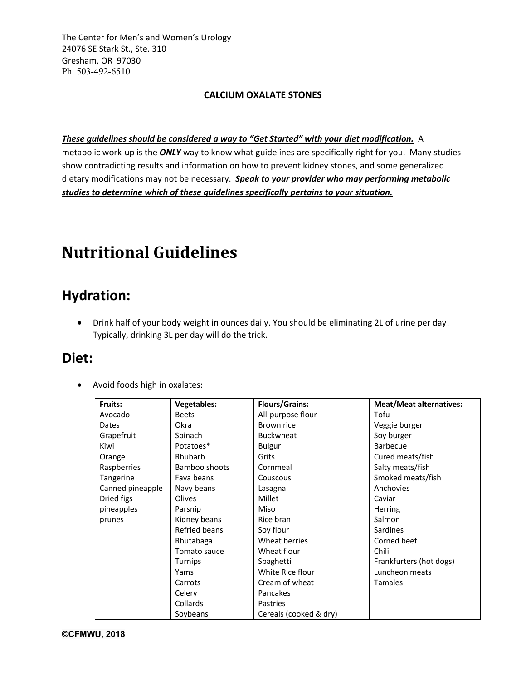The Center for Men's and Women's Urology 24076 SE Stark St., Ste. 310 Gresham, OR 97030 Ph. 503-492-6510

#### **CALCIUM OXALATE STONES**

#### *These guidelines should be considered a way to "Get Started" with your diet modification.* A

metabolic work-up is the *ONLY* way to know what guidelines are specifically right for you. Many studies show contradicting results and information on how to prevent kidney stones, and some generalized dietary modifications may not be necessary. *Speak to your provider who may performing metabolic studies to determine which of these guidelines specifically pertains to your situation.*

# **Nutritional Guidelines**

### **Hydration:**

• Drink half of your body weight in ounces daily. You should be eliminating 2L of urine per day! Typically, drinking 3L per day will do the trick.

### **Diet:**

• Avoid foods high in oxalates:

| Fruits:          | <b>Vegetables:</b> | <b>Flours/Grains:</b>  | <b>Meat/Meat alternatives:</b> |
|------------------|--------------------|------------------------|--------------------------------|
| Avocado          | <b>Beets</b>       | All-purpose flour      | Tofu                           |
| Dates            | Okra               | Brown rice             | Veggie burger                  |
| Grapefruit       | Spinach            | <b>Buckwheat</b>       | Soy burger                     |
| Kiwi             | Potatoes*          | <b>Bulgur</b>          | <b>Barbecue</b>                |
| Orange           | Rhubarb            | Grits                  | Cured meats/fish               |
| Raspberries      | Bamboo shoots      | Cornmeal               | Salty meats/fish               |
| Tangerine        | Fava beans         | Couscous               | Smoked meats/fish              |
| Canned pineapple | Navy beans         | Lasagna                | Anchovies                      |
| Dried figs       | Olives             | Millet                 | Caviar                         |
| pineapples       | Parsnip            | Miso                   | Herring                        |
| prunes           | Kidney beans       | Rice bran              | Salmon                         |
|                  | Refried beans      | Soy flour              | <b>Sardines</b>                |
|                  | Rhutabaga          | Wheat berries          | Corned beef                    |
|                  | Tomato sauce       | Wheat flour            | Chili                          |
|                  | Turnips            | Spaghetti              | Frankfurters (hot dogs)        |
|                  | Yams               | White Rice flour       | Luncheon meats                 |
|                  | Carrots            | Cream of wheat         | <b>Tamales</b>                 |
|                  | Celery             | Pancakes               |                                |
|                  | Collards           | Pastries               |                                |
|                  | Soybeans           | Cereals (cooked & dry) |                                |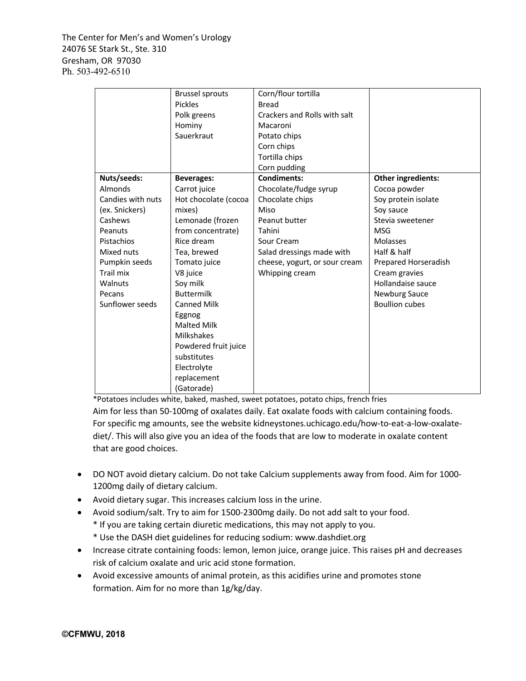The Center for Men's and Women's Urology 24076 SE Stark St., Ste. 310 Gresham, OR 97030 Ph. 503-492-6510

|                   | <b>Brussel sprouts</b> | Corn/flour tortilla           |                       |
|-------------------|------------------------|-------------------------------|-----------------------|
|                   | Pickles                | <b>Bread</b>                  |                       |
|                   | Polk greens            | Crackers and Rolls with salt  |                       |
|                   | Hominy                 | Macaroni                      |                       |
|                   | Sauerkraut             | Potato chips                  |                       |
|                   |                        | Corn chips                    |                       |
|                   |                        | Tortilla chips                |                       |
|                   |                        | Corn pudding                  |                       |
| Nuts/seeds:       | <b>Beverages:</b>      | <b>Condiments:</b>            | Other ingredients:    |
| Almonds           | Carrot juice           | Chocolate/fudge syrup         | Cocoa powder          |
| Candies with nuts | Hot chocolate (cocoa   | Chocolate chips               | Soy protein isolate   |
| (ex. Snickers)    | mixes)                 | Miso                          | Soy sauce             |
| Cashews           | Lemonade (frozen       | Peanut butter                 | Stevia sweetener      |
| Peanuts           | from concentrate)      | Tahini                        | <b>MSG</b>            |
| Pistachios        | Rice dream             | Sour Cream                    | <b>Molasses</b>       |
| Mixed nuts        | Tea, brewed            | Salad dressings made with     | Half & half           |
| Pumpkin seeds     | Tomato juice           | cheese, yogurt, or sour cream | Prepared Horseradish  |
| Trail mix         | V8 juice               | Whipping cream                | Cream gravies         |
| Walnuts           | Soy milk               |                               | Hollandaise sauce     |
| Pecans            | <b>Buttermilk</b>      |                               | <b>Newburg Sauce</b>  |
| Sunflower seeds   | <b>Canned Milk</b>     |                               | <b>Boullion cubes</b> |
|                   | Eggnog                 |                               |                       |
|                   | <b>Malted Milk</b>     |                               |                       |
|                   | <b>Milkshakes</b>      |                               |                       |
|                   | Powdered fruit juice   |                               |                       |
|                   | substitutes            |                               |                       |
|                   | Electrolyte            |                               |                       |
|                   | replacement            |                               |                       |
|                   | (Gatorade)             |                               |                       |

\*Potatoes includes white, baked, mashed, sweet potatoes, potato chips, french fries

Aim for less than 50-100mg of oxalates daily. Eat oxalate foods with calcium containing foods. For specific mg amounts, see the website kidneystones.uchicago.edu/how-to-eat-a-low-oxalatediet/. This will also give you an idea of the foods that are low to moderate in oxalate content that are good choices.

- DO NOT avoid dietary calcium. Do not take Calcium supplements away from food. Aim for 1000- 1200mg daily of dietary calcium.
- Avoid dietary sugar. This increases calcium loss in the urine.
- Avoid sodium/salt. Try to aim for 1500-2300mg daily. Do not add salt to your food.
	- \* If you are taking certain diuretic medications, this may not apply to you.
	- \* Use the DASH diet guidelines for reducing sodium: www.dashdiet.org
- Increase citrate containing foods: lemon, lemon juice, orange juice. This raises pH and decreases risk of calcium oxalate and uric acid stone formation.
- Avoid excessive amounts of animal protein, as this acidifies urine and promotes stone formation. Aim for no more than 1g/kg/day.